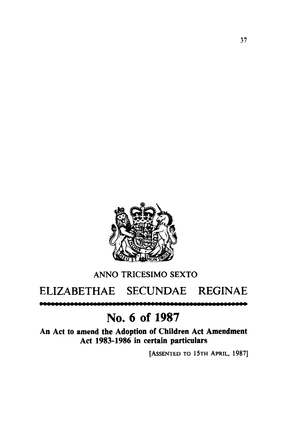

## **ANN0 TRICESIMO SEXTO**

## ELIZABETHAE SECUNDAE REGINAE

## **No.** *6* **of 1987**

**An Act to amend the Adoption of Children Act Amendment Act 1983-1986 in certain particulars** 

**[ASSENTED TO 15TH APRIL, 1987]**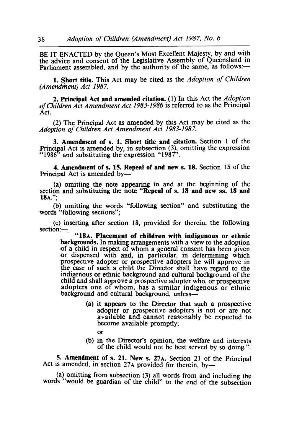BE IT ENACTED by the Queen's Most Excellent Majesty, by and with the advice and consent of the Legislative Assembly of Queensland in Parliament assembled, and by the authority of the same, as follows:-

**1. Short title.** This Act may be cited as the *Adoption* of *Children (Amendment) Act 1987.* 

**2. Principal Act and amended citation. (1)** In this Act the *Adoption*  of *Children Act Amendment Act 1983-1986* is referred to as the Principal Act.

(2) The Principal Act as amended by this Act may be cited as the *Adoption* of *Children Act Amendment Act 1983-1 987.* 

**3. Amendment of s. 1. Short title and citation.** Section **1** of the Principal Act is amended by, in subsection **(3),** omitting the expression "1986" and substituting the expression **"1** 987".

**4. Amendment** of **s. 15. Repeal of and new s. 18.** Section **15** of the Principal Act is amended by-

(a) omitting the note appearing in and at the beginning of the section and substituting the note **"Repeal** of **s. 18 and new ss. 18 and 18A.";** 

(b) omitting the words "following section" and substituting the words "following sections";

(c) inserting after section 18, provided for therein, the following section:-

**"18A. Placement of children with indigenous or ethnic backgrounds.** In making arrangements with a view to the adoption of a child in respect of whom a general consent has been given or dispensed with and, in particular, in determining which prospective adopter or prospective adopters he will approve in the case of such a child the Director shall have regard to the indigenous or ethnic background and cultural background of the child and shall approve a prospective adopter who, or prospective adopters one of whom, has a similar indigenous or ethnic background and cultural background, unless-

- **(a)** it appears to the Director that such a prospective adopter or prospective adopters is not or are not available and cannot reasonably be expected to become available promptly;
	- or
- (b) in the Director's opinion, the welfare and interests of the child would not be best served by so doing.".

**5. Amendment** of **s. 21. New s. 27A.** Section 21 of the Principal Act is amended, in section 27A provided for therein, by--

(a) omitting from subsection (3) all words from and including the words "would be guardian of the child" to the end of the subsection